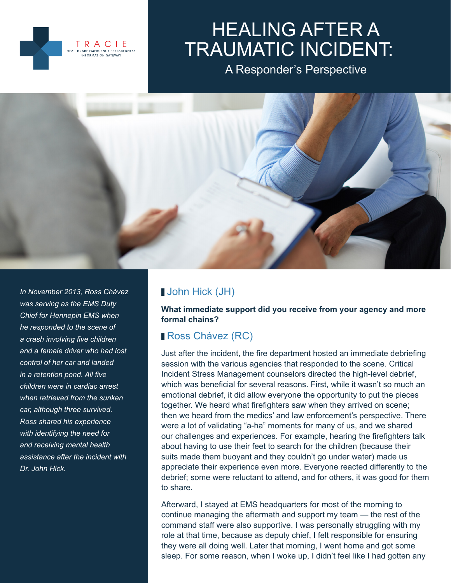

# HEALING AFTER A TRAUMATIC INCIDENT:

A Responder's Perspective



*In November 2013, Ross Chávez was serving as the EMS Duty Chief for Hennepin EMS when he responded to the scene of a crash involving five children and a female driver who had lost control of her car and landed in a retention pond. All five children were in cardiac arrest when retrieved from the sunken car, although three survived. Ross shared his experience with identifying the need for and receiving mental health assistance after the incident with Dr. John Hick.*

# John Hick (JH)

**What immediate support did you receive from your agency and more formal chains?**

# **Ross Chávez (RC)**

Just after the incident, the fire department hosted an immediate debriefing session with the various agencies that responded to the scene. Critical Incident Stress Management counselors directed the high-level debrief, which was beneficial for several reasons. First, while it wasn't so much an emotional debrief, it did allow everyone the opportunity to put the pieces together. We heard what firefighters saw when they arrived on scene; then we heard from the medics' and law enforcement's perspective. There were a lot of validating "a-ha" moments for many of us, and we shared our challenges and experiences. For example, hearing the firefighters talk about having to use their feet to search for the children (because their suits made them buoyant and they couldn't go under water) made us appreciate their experience even more. Everyone reacted differently to the debrief; some were reluctant to attend, and for others, it was good for them to share.

Afterward, I stayed at EMS headquarters for most of the morning to continue managing the aftermath and support my team — the rest of the command staff were also supportive. I was personally struggling with my role at that time, because as deputy chief, I felt responsible for ensuring they were all doing well. Later that morning, I went home and got some sleep. For some reason, when I woke up, I didn't feel like I had gotten any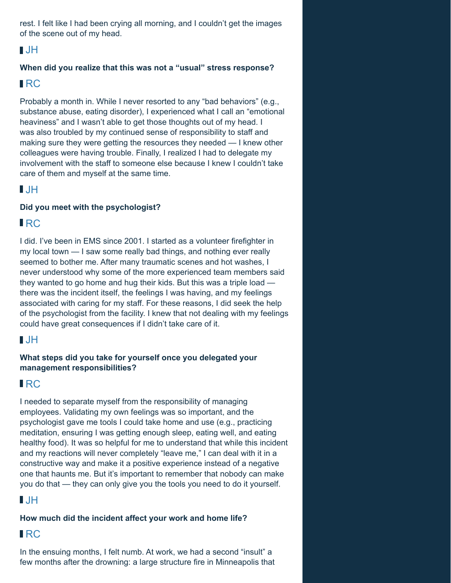rest. I felt like I had been crying all morning, and I couldn't get the images of the scene out of my head.

#### JH

#### **When did you realize that this was not a "usual" stress response?**

## RC

Probably a month in. While I never resorted to any "bad behaviors" (e.g., substance abuse, eating disorder), I experienced what I call an "emotional heaviness" and I wasn't able to get those thoughts out of my head. I was also troubled by my continued sense of responsibility to staff and making sure they were getting the resources they needed — I knew other colleagues were having trouble. Finally, I realized I had to delegate my involvement with the staff to someone else because I knew I couldn't take care of them and myself at the same time.

## JH

#### **Did you meet with the psychologist?**

## **IRC**

I did. I've been in EMS since 2001. I started as a volunteer firefighter in my local town — I saw some really bad things, and nothing ever really seemed to bother me. After many traumatic scenes and hot washes, I never understood why some of the more experienced team members said they wanted to go home and hug their kids. But this was a triple load there was the incident itself, the feelings I was having, and my feelings associated with caring for my staff. For these reasons, I did seek the help of the psychologist from the facility. I knew that not dealing with my feelings could have great consequences if I didn't take care of it.

## JH

#### **What steps did you take for yourself once you delegated your management responsibilities?**

## RC

I needed to separate myself from the responsibility of managing employees. Validating my own feelings was so important, and the psychologist gave me tools I could take home and use (e.g., practicing meditation, ensuring I was getting enough sleep, eating well, and eating healthy food). It was so helpful for me to understand that while this incident and my reactions will never completely "leave me," I can deal with it in a constructive way and make it a positive experience instead of a negative one that haunts me. But it's important to remember that nobody can make you do that — they can only give you the tools you need to do it yourself.

# JH

#### **How much did the incident affect your work and home life?**

## RC

In the ensuing months, I felt numb. At work, we had a second "insult" a few months after the drowning: a large structure fire in Minneapolis that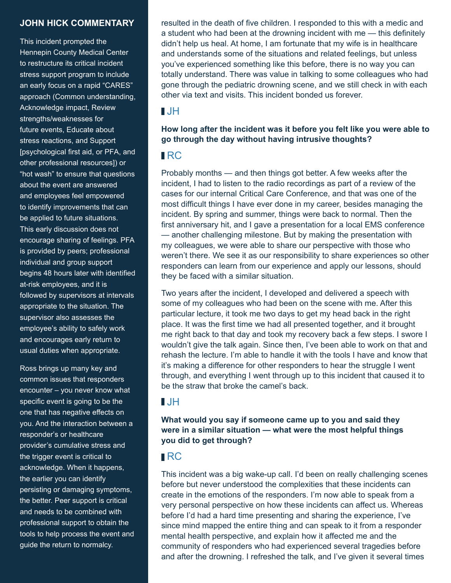#### **JOHN HICK COMMENTARY**

This incident prompted the Hennepin County Medical Center to restructure its critical incident stress support program to include an early focus on a rapid "CARES" approach (Common understanding, Acknowledge impact, Review strengths/weaknesses for future events, Educate about stress reactions, and Support [psychological first aid, or PFA, and other professional resources]) or "hot wash" to ensure that questions about the event are answered and employees feel empowered to identify improvements that can be applied to future situations. This early discussion does not encourage sharing of feelings. PFA is provided by peers; professional individual and group support begins 48 hours later with identified at-risk employees, and it is followed by supervisors at intervals appropriate to the situation. The supervisor also assesses the employee's ability to safely work and encourages early return to usual duties when appropriate.

Ross brings up many key and common issues that responders encounter – you never know what specific event is going to be the one that has negative effects on you. And the interaction between a responder's or healthcare provider's cumulative stress and the trigger event is critical to acknowledge. When it happens, the earlier you can identify persisting or damaging symptoms, the better. Peer support is critical and needs to be combined with professional support to obtain the tools to help process the event and guide the return to normalcy.

resulted in the death of five children. I responded to this with a medic and a student who had been at the drowning incident with me — this definitely didn't help us heal. At home, I am fortunate that my wife is in healthcare and understands some of the situations and related feelings, but unless you've experienced something like this before, there is no way you can totally understand. There was value in talking to some colleagues who had gone through the pediatric drowning scene, and we still check in with each other via text and visits. This incident bonded us forever.

#### $\blacksquare$  JH

#### **How long after the incident was it before you felt like you were able to go through the day without having intrusive thoughts?**

#### RC

Probably months — and then things got better. A few weeks after the incident, I had to listen to the radio recordings as part of a review of the cases for our internal Critical Care Conference, and that was one of the most difficult things I have ever done in my career, besides managing the incident. By spring and summer, things were back to normal. Then the first anniversary hit, and I gave a presentation for a local EMS conference — another challenging milestone. But by making the presentation with my colleagues, we were able to share our perspective with those who weren't there. We see it as our responsibility to share experiences so other responders can learn from our experience and apply our lessons, should they be faced with a similar situation.

Two years after the incident, I developed and delivered a speech with some of my colleagues who had been on the scene with me. After this particular lecture, it took me two days to get my head back in the right place. It was the first time we had all presented together, and it brought me right back to that day and took my recovery back a few steps. I swore I wouldn't give the talk again. Since then, I've been able to work on that and rehash the lecture. I'm able to handle it with the tools I have and know that it's making a difference for other responders to hear the struggle I went through, and everything I went through up to this incident that caused it to be the straw that broke the camel's back.

#### $\blacksquare$

**What would you say if someone came up to you and said they were in a similar situation — what were the most helpful things you did to get through?**

## RC

This incident was a big wake-up call. I'd been on really challenging scenes before but never understood the complexities that these incidents can create in the emotions of the responders. I'm now able to speak from a very personal perspective on how these incidents can affect us. Whereas before I'd had a hard time presenting and sharing the experience, I've since mind mapped the entire thing and can speak to it from a responder mental health perspective, and explain how it affected me and the community of responders who had experienced several tragedies before and after the drowning. I refreshed the talk, and I've given it several times